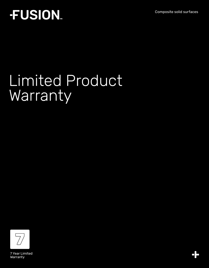Composite solid surfaces

## **FUSION**

# Limited Product **Warranty**

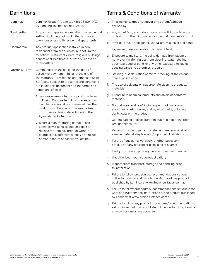## Definitions

- 'Laminex' Laminex Group Pty Limited ABN 98 004 093 092 trading as The Laminex Group. 'Residential' Any product application installed in a residential setting, including but not limited to houses, townhouses or multi-residential apartments.
- 'Commercial' Any product application installed in nonresidential premises such as, but not limited to, offices, restaurants, bars, religious buildings, educational, healthcare, private business or retail outlets.
- 'Warranty Term' Commences on the earlier of the date of delivery or payment in full until the end of the Warranty Term for Fusion Composite Solid Surfaces. Subject to the terms and conditions outlinedin this document and the terms and conditions of sale:
	- 1 Laminex warrants to the original purchaser of Fusion Composite Solid surfaces product used for residential or commercial use, the product(s) will, under normal use be free from manufacturing defects during the 7 year Warranty Term; and
	- 2 Where a manufacturing defect arises, Laminex will, at its discretion, repair or replace the Laminex product without charge if it is defective directly as a result of manufacture or supply by Laminex.

### Terms & Conditions of Warranty

- 1. This warranty does not cover any defect/damage caused by:
- a. Any act of God, any natural occurrence, third party act or omission or other circumstances beyond Laminex's control;
- b. Physical abuse, negligence, vandalism, misuse or accidents;
- c. Exposure to excessive direct or radiant heat;
- d. Exposure to moisture, including damage from steam or hot water - water ingress from cleaning, water pooling at or near edge of panel or any other exposure to liquids causing panels to deform as a result;
- e. Staining, discolouration or micro-cracking of the colourcore exposed edge;
- f. The use of solvents or inappropriate cleaning products/ materials;
- g. Exposure to chemical products and acidic or corrosive materials;
- h. Normal 'wear and tear', including without limitation, scratches, scuffs, burns, stains, wipe marks, chipping, dents, cuts on the product;
- i. General fading or discolouration due to direct or indirect UV light exposure;
- j. Variation in colour, pattern or shade of material against sample material, displays and/or printed illustrations;
- k. Failure of any adhesive, caulk, or other accessory, or failure of any caulked or filled joins or seams;
- l. Faulty workmanship by any person other than Laminex;
- m. Unauthorised modification/application;
- n. Inappropriate transport, storage and handling prior to installation;
- o. Failure to follow procedures/recommendations set out in the Fabrication and Installation Manual of the product published by Laminex at www.fusionsurfaces.com.au;
- p. Failure to follow procedures/recommendations set out in the Care and Maintenance instructions of the product published by Laminex at www.fusionsurfaces.com.au;
- q. Failure to follow any product procedures/recommendations set out in set out in any published documentation by Laminex at www.fusionsurfaces.com.au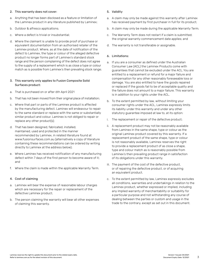#### 2. This warranty does not cover:

- a. Anything that has been disclosed as a feature or limitation of the Laminex product in any literature published by Laminex;
- b. Outdoor & alfresco applications;
- c. Where a defect is trivial or insubstantial;
- d. Where the claimant is unable to provide proof of purchase or equivalent documentation from an authorised retailer of the Laminex product. Where, as at the date of notification of the defect to Laminex, the type or colour of the alleged defective product no longer forms part of Laminex's standard stock range and the person complaining of the defect does not agree to the supply of a replacement which is as close a type or colour match as is possible from Laminex's then prevailing stock range;

#### 3. This warranty only applies to Fusion Composite Solid Surfaces product:

- a. That is purchased on or after 6th April 2021
- b. That has not been moved from their original place of installation;
- c. Where that part or parts of the Laminex product is affected by the manufacturing defect. Laminex will endeavour to repair to the same standard or replace with the same or substantially similar product and colour. Laminex is not obliged to repair or replace any other product(s);
- d. That has been designed, fabricated, installed, maintained, used and protected in the manner recommended by Laminex, in related literature found at www.fusionsurfaces.com.au (alternatively a copy of literature containing these recommendations can be ordered by writing directly to Laminex at the address below);
- e. Where Laminex has received notification of any manufacturing defect within 7 days of the first person to become aware of it; and
- f. Where the claim is made within the applicable Warranty Term.

#### 4. Cost of claiming

- a. Laminex will bear the expense of reasonable labour charges which are necessary for the repair or replacement of the defective Laminex product;
- b. The person claiming the warranty will bear all other expenses of claiming this warranty.

#### 5. Validity

- a. A claim may only be made against this warranty after Laminex has received payment by first purchaser in full for its product;
- b. A claim may only be made during the applicable Warranty Term;
- c. The Warranty Term does not restart if a claim is submitted; the original warranty commencement date applies; and
- d. The warranty is not transferable or assignable.

#### 6. Limitations:

- a. If you are a consumer as defined under the Australian Consumer Law (ACL) the Laminex Products come with guarantees that cannot be excluded under the ACL. You are entitled to a replacement or refund for a major failure and compensation for any other reasonably foreseeable loss or damage. You are also entitled to have the goods repaired or replaced if the goods fail to be of acceptable quality and the failure does not amount to a major failure. This warranty is in addition to your rights under the ACL.
- b. To the extent permitted by law, without limiting your consumer rights under the ACL, Laminex expressly limits its liability under this warranty and under any other statutory guarantee imposed at law to, at its option:
- i. The replacement or repair of the defective product;
- ii. A replacement product may not be reasonably available from Laminex in the same shape, type or colour as the original Laminex product covered by this warranty. If a replacement product of the same shape, type or colour is not reasonably available, Laminex reserves the right to provide a replacement product of as close a shape, type and colour match as is reasonably possible from Laminex's then prevailing product range in satisfaction of its obligations under this warranty.
- iii. The payment of the cost of the defective product, or of repairing the defective product, or of acquiring an equivalent product.
- c. To the extent permitted by law, Laminex expressly excludes all conditions, warranties and undertakings in relation to the Laminex product, whether expressed or implied, including any implied warranty of merchantability or suitability for a particular purpose and not withstanding any course of dealing between the parties or custom and usage in the trade to the contrary, except as set out in this document.